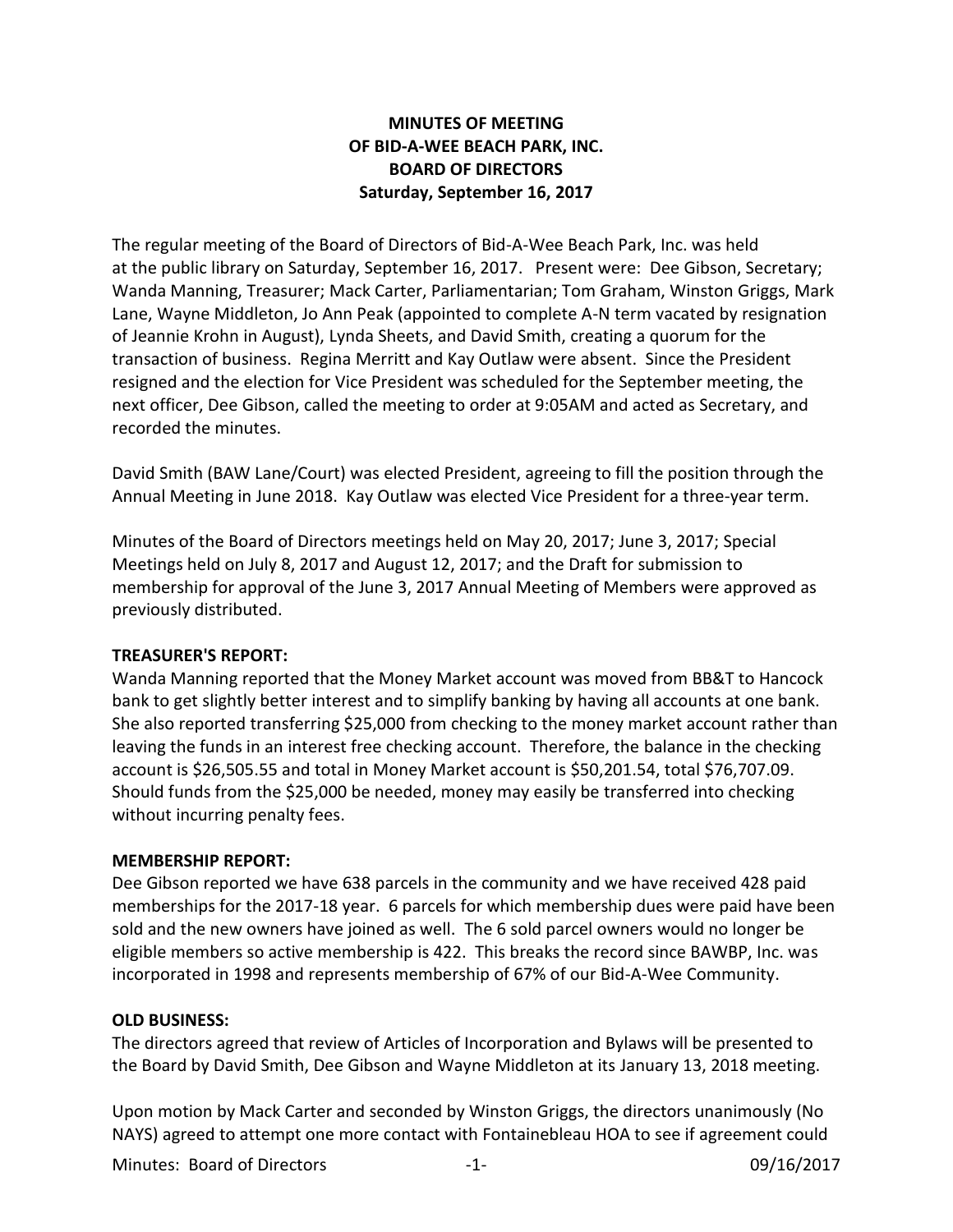# **MINUTES OF MEETING OF BID-A-WEE BEACH PARK, INC. BOARD OF DIRECTORS Saturday, September 16, 2017**

The regular meeting of the Board of Directors of Bid-A-Wee Beach Park, Inc. was held at the public library on Saturday, September 16, 2017. Present were: Dee Gibson, Secretary; Wanda Manning, Treasurer; Mack Carter, Parliamentarian; Tom Graham, Winston Griggs, Mark Lane, Wayne Middleton, Jo Ann Peak (appointed to complete A-N term vacated by resignation of Jeannie Krohn in August), Lynda Sheets, and David Smith, creating a quorum for the transaction of business. Regina Merritt and Kay Outlaw were absent. Since the President resigned and the election for Vice President was scheduled for the September meeting, the next officer, Dee Gibson, called the meeting to order at 9:05AM and acted as Secretary, and recorded the minutes.

David Smith (BAW Lane/Court) was elected President, agreeing to fill the position through the Annual Meeting in June 2018. Kay Outlaw was elected Vice President for a three-year term.

Minutes of the Board of Directors meetings held on May 20, 2017; June 3, 2017; Special Meetings held on July 8, 2017 and August 12, 2017; and the Draft for submission to membership for approval of the June 3, 2017 Annual Meeting of Members were approved as previously distributed.

### **TREASURER'S REPORT:**

Wanda Manning reported that the Money Market account was moved from BB&T to Hancock bank to get slightly better interest and to simplify banking by having all accounts at one bank. She also reported transferring \$25,000 from checking to the money market account rather than leaving the funds in an interest free checking account. Therefore, the balance in the checking account is \$26,505.55 and total in Money Market account is \$50,201.54, total \$76,707.09. Should funds from the \$25,000 be needed, money may easily be transferred into checking without incurring penalty fees.

## **MEMBERSHIP REPORT:**

Dee Gibson reported we have 638 parcels in the community and we have received 428 paid memberships for the 2017-18 year. 6 parcels for which membership dues were paid have been sold and the new owners have joined as well. The 6 sold parcel owners would no longer be eligible members so active membership is 422. This breaks the record since BAWBP, Inc. was incorporated in 1998 and represents membership of 67% of our Bid-A-Wee Community.

### **OLD BUSINESS:**

The directors agreed that review of Articles of Incorporation and Bylaws will be presented to the Board by David Smith, Dee Gibson and Wayne Middleton at its January 13, 2018 meeting.

Upon motion by Mack Carter and seconded by Winston Griggs, the directors unanimously (No NAYS) agreed to attempt one more contact with Fontainebleau HOA to see if agreement could

Minutes: Board of Directors -1- 09/16/2017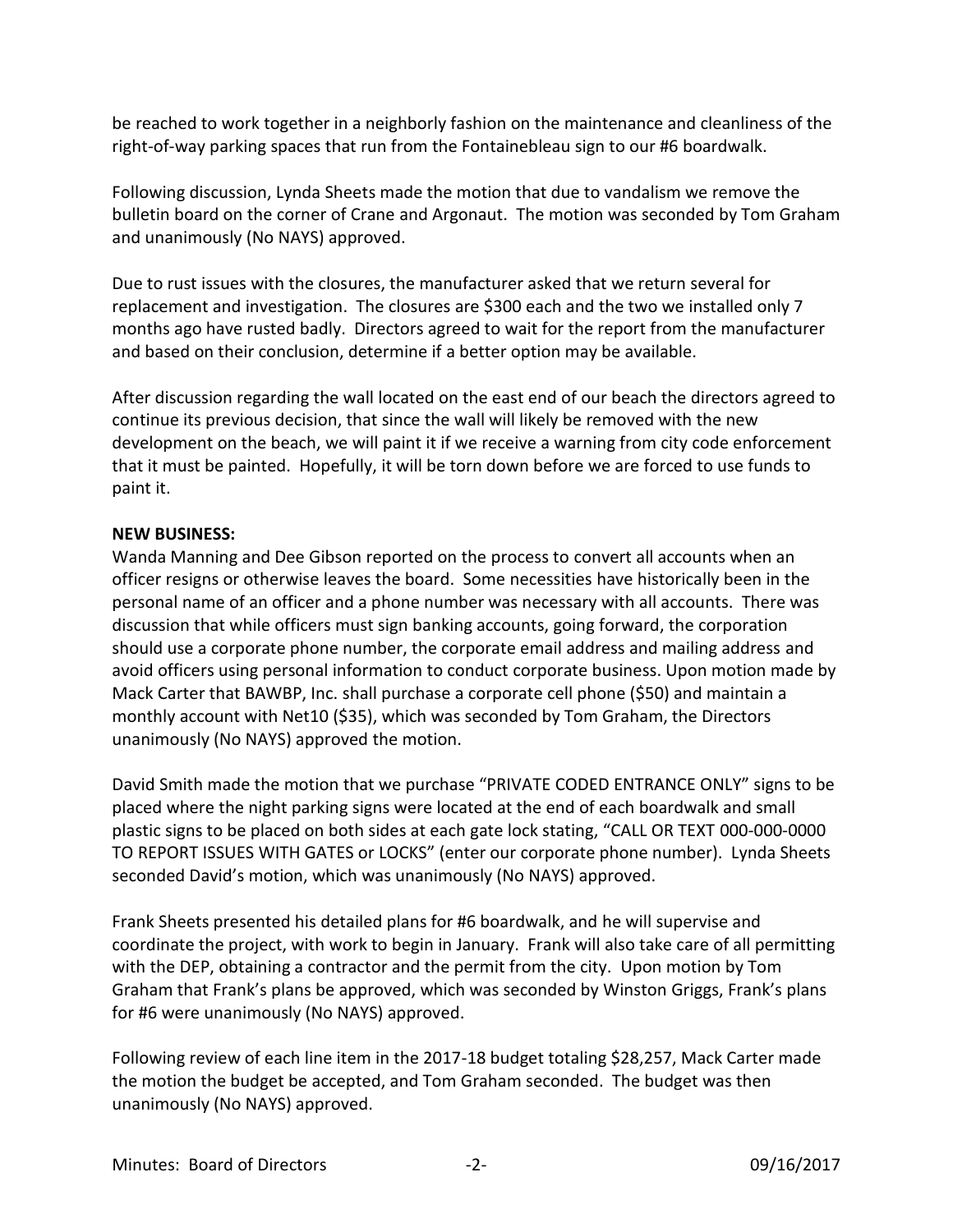be reached to work together in a neighborly fashion on the maintenance and cleanliness of the right-of-way parking spaces that run from the Fontainebleau sign to our #6 boardwalk.

Following discussion, Lynda Sheets made the motion that due to vandalism we remove the bulletin board on the corner of Crane and Argonaut. The motion was seconded by Tom Graham and unanimously (No NAYS) approved.

Due to rust issues with the closures, the manufacturer asked that we return several for replacement and investigation. The closures are \$300 each and the two we installed only 7 months ago have rusted badly. Directors agreed to wait for the report from the manufacturer and based on their conclusion, determine if a better option may be available.

After discussion regarding the wall located on the east end of our beach the directors agreed to continue its previous decision, that since the wall will likely be removed with the new development on the beach, we will paint it if we receive a warning from city code enforcement that it must be painted. Hopefully, it will be torn down before we are forced to use funds to paint it.

## **NEW BUSINESS:**

Wanda Manning and Dee Gibson reported on the process to convert all accounts when an officer resigns or otherwise leaves the board. Some necessities have historically been in the personal name of an officer and a phone number was necessary with all accounts. There was discussion that while officers must sign banking accounts, going forward, the corporation should use a corporate phone number, the corporate email address and mailing address and avoid officers using personal information to conduct corporate business. Upon motion made by Mack Carter that BAWBP, Inc. shall purchase a corporate cell phone (\$50) and maintain a monthly account with Net10 (\$35), which was seconded by Tom Graham, the Directors unanimously (No NAYS) approved the motion.

David Smith made the motion that we purchase "PRIVATE CODED ENTRANCE ONLY" signs to be placed where the night parking signs were located at the end of each boardwalk and small plastic signs to be placed on both sides at each gate lock stating, "CALL OR TEXT 000-000-0000 TO REPORT ISSUES WITH GATES or LOCKS" (enter our corporate phone number). Lynda Sheets seconded David's motion, which was unanimously (No NAYS) approved.

Frank Sheets presented his detailed plans for #6 boardwalk, and he will supervise and coordinate the project, with work to begin in January. Frank will also take care of all permitting with the DEP, obtaining a contractor and the permit from the city. Upon motion by Tom Graham that Frank's plans be approved, which was seconded by Winston Griggs, Frank's plans for #6 were unanimously (No NAYS) approved.

Following review of each line item in the 2017-18 budget totaling \$28,257, Mack Carter made the motion the budget be accepted, and Tom Graham seconded. The budget was then unanimously (No NAYS) approved.